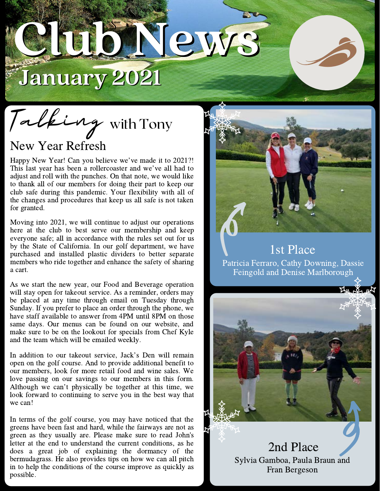

Talking with Tony

## New Year Refresh

New Year Refresh<br>Happy New Year! Can you believe we've made it to 2021?! Happy New Year! Can you believe we've made it to 2021?!<br>This last year has been a rollercoaster and we've all had to adjust and roll with the punches. On that note, we would like to thank all of our members for doing their part to keep our club safe during this pandemic. Your flexibility with all of the changes and procedures that keep us all safe is not taken for granted.

Moving into 2021, we will continue to adjust our operations here at the club to best serve our membership and keep everyone safe; all in accordance with the rules set out for us by the State of California. In our golf department, we have purchased and installed plastic dividers to better separate members who ride together and enhance the safety of sharing a cart.

As we start the new year, our Food and Beverage operation will stay open for takeout service. As a reminder, orders may be placed at any time through email on Tuesday through Sunday. If you prefer to place an order through the phone, we have staff available to answer from 4PM until 8PM on those same days. Our menus can be found on our website, and make sure to be on the lookout for specials from Chef Kyle and the team which will be emailed weekly.

In addition to our takeout service, Jack's Den will remain open on the golf course. And to provide additional benefit to our members, look for more retail food and wine sales. We love passing on our savings to our members in this form. Although we can't physically be together at this time, we look forward to continuing to serve you in the best way that we can!

In terms of the golf course, you may have noticed that the greens have been fast and hard, while the fairways are not as green as they usually are. Please make sure to read John's letter at the end to understand the current conditions, as he does a great job of explaining the dormancy of the bermudagrass. He also provides tips on how we can all pitch in to help the conditions of the course improve as quickly as possible.



1st Place Patricia Ferraro, Cathy Downing, Dassie Feingold and Denise Marlborough

2nd Place

Sylvia Gamboa, Paula Braun and Fran Bergeson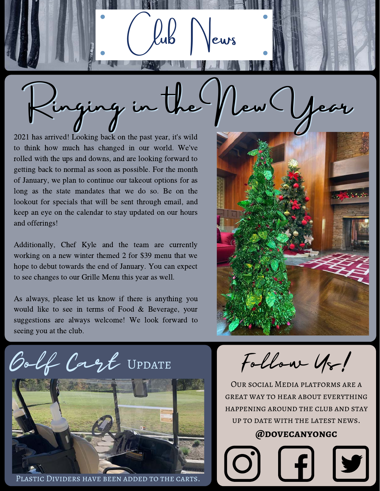Ringing in the New Year

Veurs

2021 has arrived! Looking back on the past year, it's wild to think how much has changed in our world. We've rolled with the ups and downs, and are looking forward to getting back to normal as soon as possible. For the month of January, we plan to continue our takeout options for as long as the state mandates that we do so. Be on the lookout for specials that will be sent through email, and keep an eye on the calendar to stay updated on our hours and offerings!

Additionally, Chef Kyle and the team are currently working on a new winter themed 2 for \$39 menu that we hope to debut towards the end of January. You can expect to see changes to our Grille Menu this year as well.

As always, please let us know if there is anything you would like to see in terms of Food & Beverage, your suggestions are always welcome! We look forward to seeing you at the club.



Golf Cagt UPDATE



Plastic Dividers have been added to the carts.

Follow Us!

Our social Media platforms are a great way to hear about everything happening around the club and stay up to date with the latest news.

**@dovecanyongc**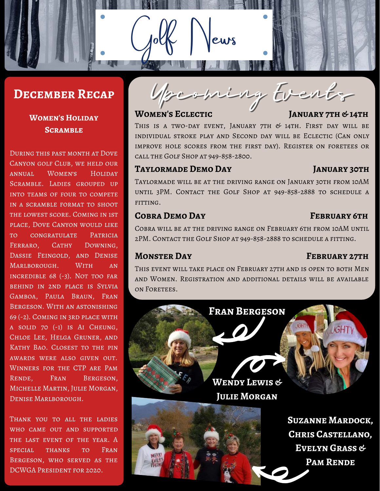## **December Recap**

## **Women's Holiday Scramble**

During this past month at Dove Canyon golf Club, we held our annual Women's Holiday Scramble. Ladies grouped up into teams of four to compete in a scramble format to shoot the lowest score. Coming in 1st place, Dove Canyon would like to congratulate Patricia FERRARO, CATHY DOWNING, Dassie Feingold, and Denise Marlborough. With an incredible 68 (-3). Not too far behind in 2nd place is Sylvia Gamboa, Paula Braun, Fran Bergeson. With an astonishing 69 (-2). Coming in 3rd place with a solid 70 (-1) is Ai Cheung, Chloe Lee, Helga Gruner, and Kathy Bao. Closest to the pin awards were also given out. Winners for the CTP are Pam RENDE. FRAN BERGESON. Michelle Martin, Julie Morgan, Denise Marlborough.

Thank you to all the ladies who came out and supported THE LAST EVENT OF THE YEAR. A special thanks to Fran Bergeson, who served as the DCWGA President for 2020.

Upcoming Events

eurs

## **WOMEN'S ECLECTIC JANUARY 7TH & 14TH**

THIS IS A TWO-DAY EVENT, JANUARY 7TH  $&$  14TH. FIRST DAY WILL BE individual stroke play and Second day will be Eclectic (Can only improve hole scores from the first day). Register on foretees or call the Golf Shop at 949-858-2800.

## **Taylormade Demo Day January 30th**

Taylormade will be at the driving range on January 30th from 10AM until 3PM. Contact the Golf Shop at 949-858-2888 to schedule a fitting.

## **Cobra Demo Day February 6th**

Cobra will be at the driving range on February 6th from 10AM until 2PM. Contact the Golf Shop at 949-858-2888 to schedule a fitting.

### **MONSTER DAY FEBRUARY 27TH**

This event will take place on February 27th and is open to both Men and Women. Registration and additional details will be available on Foretees.

**Fran Bergeson IGHT Wendy Lewis & Julie Morgan Suzanne Mardock, Chris Castellano, Evelyn Grass & Pam Rende**